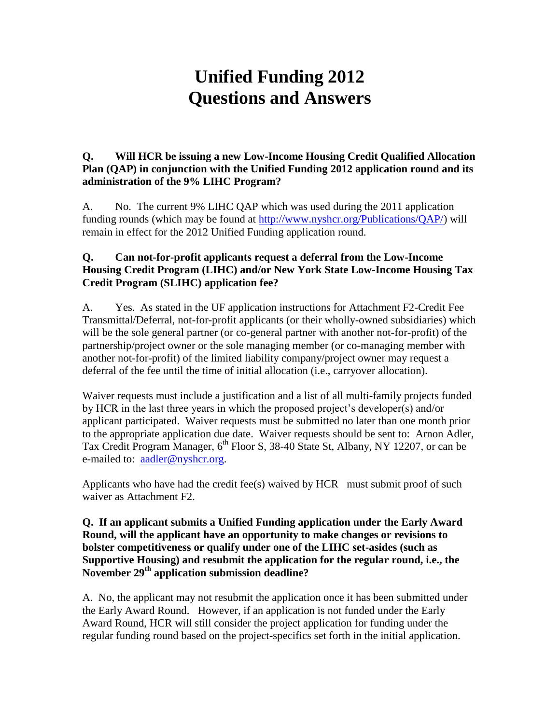# **Unified Funding 2012 Questions and Answers**

### **Q. Will HCR be issuing a new Low-Income Housing Credit Qualified Allocation Plan (QAP) in conjunction with the Unified Funding 2012 application round and its administration of the 9% LIHC Program?**

A. No. The current 9% LIHC QAP which was used during the 2011 application funding rounds (which may be found at [http://www.nyshcr.org/Publications/QAP/\)](http://www.nyshcr.org/Publications/QAP/) will remain in effect for the 2012 Unified Funding application round.

# **Q. Can not-for-profit applicants request a deferral from the Low-Income Housing Credit Program (LIHC) and/or New York State Low-Income Housing Tax Credit Program (SLIHC) application fee?**

A. Yes. As stated in the UF application instructions for Attachment F2-Credit Fee Transmittal/Deferral, not-for-profit applicants (or their wholly-owned subsidiaries) which will be the sole general partner (or co-general partner with another not-for-profit) of the partnership/project owner or the sole managing member (or co-managing member with another not-for-profit) of the limited liability company/project owner may request a deferral of the fee until the time of initial allocation (i.e., carryover allocation).

Waiver requests must include a justification and a list of all multi-family projects funded by HCR in the last three years in which the proposed project's developer(s) and/or applicant participated. Waiver requests must be submitted no later than one month prior to the appropriate application due date. Waiver requests should be sent to: Arnon Adler, Tax Credit Program Manager, 6<sup>th</sup> Floor S, 38-40 State St, Albany, NY 12207, or can be e-mailed to: [aadler@nyshcr.org.](mailto:aadler@nyshcr.org)

Applicants who have had the credit fee(s) waived by HCR must submit proof of such waiver as Attachment F2.

#### **Q. If an applicant submits a Unified Funding application under the Early Award Round, will the applicant have an opportunity to make changes or revisions to bolster competitiveness or qualify under one of the LIHC set-asides (such as Supportive Housing) and resubmit the application for the regular round, i.e., the November 29th application submission deadline?**

A. No, the applicant may not resubmit the application once it has been submitted under the Early Award Round. However, if an application is not funded under the Early Award Round, HCR will still consider the project application for funding under the regular funding round based on the project-specifics set forth in the initial application.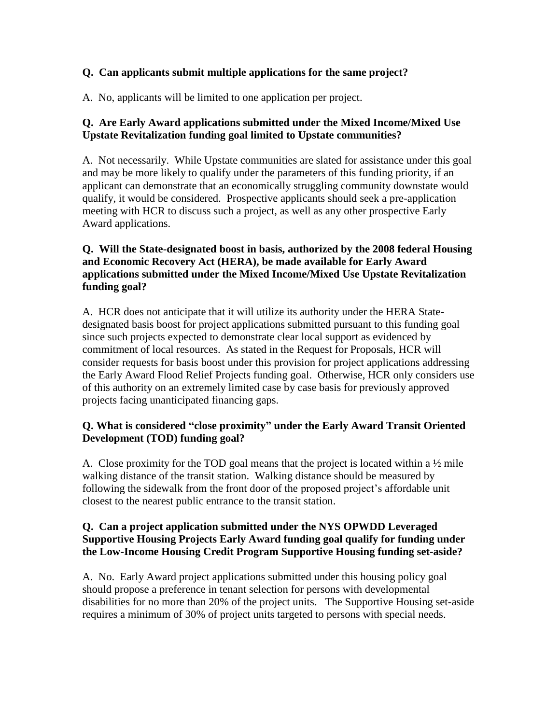# **Q. Can applicants submit multiple applications for the same project?**

A. No, applicants will be limited to one application per project.

# **Q. Are Early Award applications submitted under the Mixed Income/Mixed Use Upstate Revitalization funding goal limited to Upstate communities?**

A. Not necessarily. While Upstate communities are slated for assistance under this goal and may be more likely to qualify under the parameters of this funding priority, if an applicant can demonstrate that an economically struggling community downstate would qualify, it would be considered. Prospective applicants should seek a pre-application meeting with HCR to discuss such a project, as well as any other prospective Early Award applications.

# **Q. Will the State-designated boost in basis, authorized by the 2008 federal Housing and Economic Recovery Act (HERA), be made available for Early Award applications submitted under the Mixed Income/Mixed Use Upstate Revitalization funding goal?**

A. HCR does not anticipate that it will utilize its authority under the HERA Statedesignated basis boost for project applications submitted pursuant to this funding goal since such projects expected to demonstrate clear local support as evidenced by commitment of local resources. As stated in the Request for Proposals, HCR will consider requests for basis boost under this provision for project applications addressing the Early Award Flood Relief Projects funding goal. Otherwise, HCR only considers use of this authority on an extremely limited case by case basis for previously approved projects facing unanticipated financing gaps.

# **Q. What is considered "close proximity" under the Early Award Transit Oriented Development (TOD) funding goal?**

A. Close proximity for the TOD goal means that the project is located within a  $\frac{1}{2}$  mile walking distance of the transit station. Walking distance should be measured by following the sidewalk from the front door of the proposed project's affordable unit closest to the nearest public entrance to the transit station.

#### **Q. Can a project application submitted under the NYS OPWDD Leveraged Supportive Housing Projects Early Award funding goal qualify for funding under the Low-Income Housing Credit Program Supportive Housing funding set-aside?**

A. No. Early Award project applications submitted under this housing policy goal should propose a preference in tenant selection for persons with developmental disabilities for no more than 20% of the project units. The Supportive Housing set-aside requires a minimum of 30% of project units targeted to persons with special needs.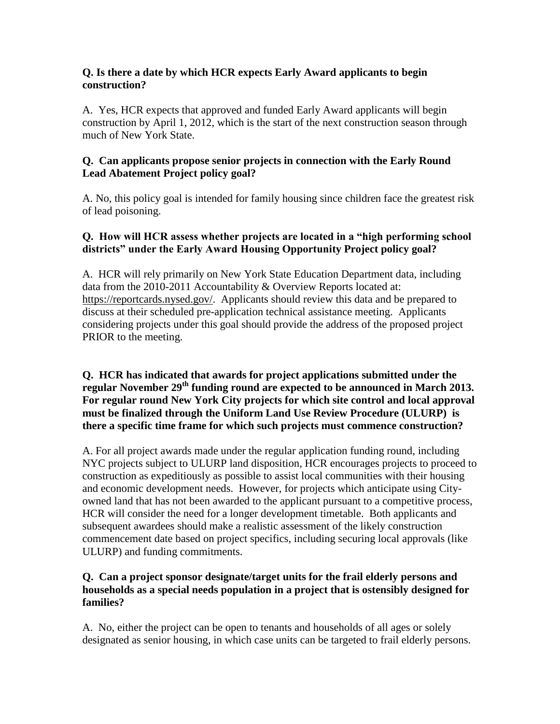#### **Q. Is there a date by which HCR expects Early Award applicants to begin construction?**

A. Yes, HCR expects that approved and funded Early Award applicants will begin construction by April 1, 2012, which is the start of the next construction season through much of New York State.

### **Q. Can applicants propose senior projects in connection with the Early Round Lead Abatement Project policy goal?**

A. No, this policy goal is intended for family housing since children face the greatest risk of lead poisoning.

## **Q. How will HCR assess whether projects are located in a "high performing school districts" under the Early Award Housing Opportunity Project policy goal?**

A. HCR will rely primarily on New York State Education Department data, including data from the 2010-2011 Accountability & Overview Reports located at: [https://reportcards.nysed.gov/.](https://reportcards.nysed.gov/) Applicants should review this data and be prepared to discuss at their scheduled pre-application technical assistance meeting. Applicants considering projects under this goal should provide the address of the proposed project PRIOR to the meeting.

#### **Q. HCR has indicated that awards for project applications submitted under the regular November 29th funding round are expected to be announced in March 2013. For regular round New York City projects for which site control and local approval must be finalized through the Uniform Land Use Review Procedure (ULURP) is there a specific time frame for which such projects must commence construction?**

A. For all project awards made under the regular application funding round, including NYC projects subject to ULURP land disposition, HCR encourages projects to proceed to construction as expeditiously as possible to assist local communities with their housing and economic development needs. However, for projects which anticipate using Cityowned land that has not been awarded to the applicant pursuant to a competitive process, HCR will consider the need for a longer development timetable. Both applicants and subsequent awardees should make a realistic assessment of the likely construction commencement date based on project specifics, including securing local approvals (like ULURP) and funding commitments.

#### **Q. Can a project sponsor designate/target units for the frail elderly persons and households as a special needs population in a project that is ostensibly designed for families?**

A. No, either the project can be open to tenants and households of all ages or solely designated as senior housing, in which case units can be targeted to frail elderly persons.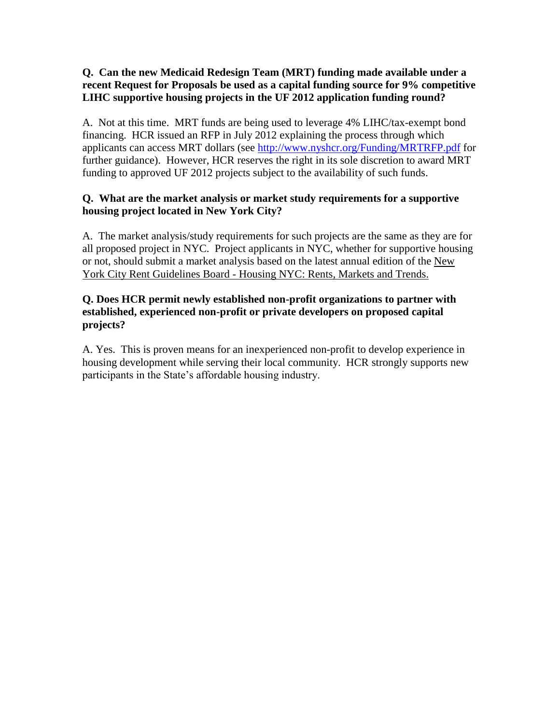#### **Q. Can the new Medicaid Redesign Team (MRT) funding made available under a recent Request for Proposals be used as a capital funding source for 9% competitive LIHC supportive housing projects in the UF 2012 application funding round?**

A. Not at this time. MRT funds are being used to leverage 4% LIHC/tax-exempt bond financing. HCR issued an RFP in July 2012 explaining the process through which applicants can access MRT dollars (see<http://www.nyshcr.org/Funding/MRTRFP.pdf> for further guidance). However, HCR reserves the right in its sole discretion to award MRT funding to approved UF 2012 projects subject to the availability of such funds.

#### **Q. What are the market analysis or market study requirements for a supportive housing project located in New York City?**

A. The market analysis/study requirements for such projects are the same as they are for all proposed project in NYC. Project applicants in NYC, whether for supportive housing or not, should submit a market analysis based on the latest annual edition of the New York City Rent Guidelines Board - Housing NYC: Rents, Markets and Trends.

#### **Q. Does HCR permit newly established non-profit organizations to partner with established, experienced non-profit or private developers on proposed capital projects?**

A. Yes. This is proven means for an inexperienced non-profit to develop experience in housing development while serving their local community. HCR strongly supports new participants in the State's affordable housing industry.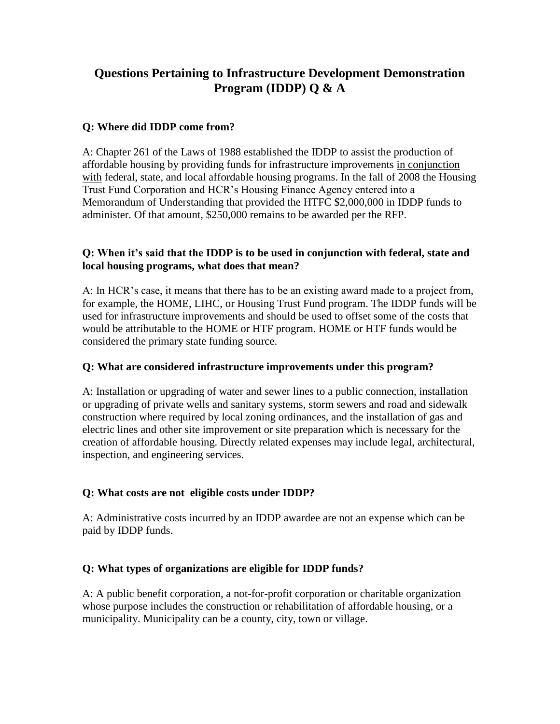# **Questions Pertaining to Infrastructure Development Demonstration Program (IDDP) Q & A**

## **Q: Where did IDDP come from?**

A: Chapter 261 of the Laws of 1988 established the IDDP to assist the production of affordable housing by providing funds for infrastructure improvements in conjunction with federal, state, and local affordable housing programs. In the fall of 2008 the Housing Trust Fund Corporation and HCR's Housing Finance Agency entered into a Memorandum of Understanding that provided the HTFC \$2,000,000 in IDDP funds to administer. Of that amount, \$250,000 remains to be awarded per the RFP.

## **Q: When it's said that the IDDP is to be used in conjunction with federal, state and local housing programs, what does that mean?**

A: In HCR's case, it means that there has to be an existing award made to a project from, for example, the HOME, LIHC, or Housing Trust Fund program. The IDDP funds will be used for infrastructure improvements and should be used to offset some of the costs that would be attributable to the HOME or HTF program. HOME or HTF funds would be considered the primary state funding source.

## **Q: What are considered infrastructure improvements under this program?**

A: Installation or upgrading of water and sewer lines to a public connection, installation or upgrading of private wells and sanitary systems, storm sewers and road and sidewalk construction where required by local zoning ordinances, and the installation of gas and electric lines and other site improvement or site preparation which is necessary for the creation of affordable housing. Directly related expenses may include legal, architectural, inspection, and engineering services.

# **Q: What costs are not eligible costs under IDDP?**

A: Administrative costs incurred by an IDDP awardee are not an expense which can be paid by IDDP funds.

# **Q: What types of organizations are eligible for IDDP funds?**

A: A public benefit corporation, a not-for-profit corporation or charitable organization whose purpose includes the construction or rehabilitation of affordable housing, or a municipality. Municipality can be a county, city, town or village.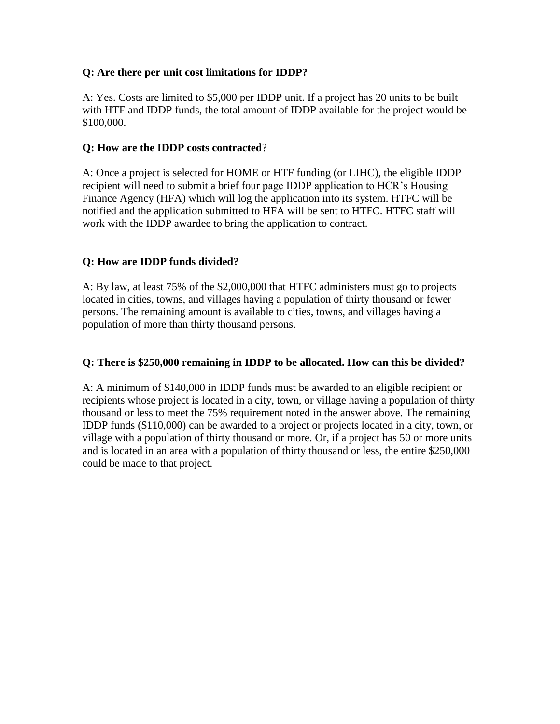### **Q: Are there per unit cost limitations for IDDP?**

A: Yes. Costs are limited to \$5,000 per IDDP unit. If a project has 20 units to be built with HTF and IDDP funds, the total amount of IDDP available for the project would be \$100,000.

## **Q: How are the IDDP costs contracted**?

A: Once a project is selected for HOME or HTF funding (or LIHC), the eligible IDDP recipient will need to submit a brief four page IDDP application to HCR's Housing Finance Agency (HFA) which will log the application into its system. HTFC will be notified and the application submitted to HFA will be sent to HTFC. HTFC staff will work with the IDDP awardee to bring the application to contract.

# **Q: How are IDDP funds divided?**

A: By law, at least 75% of the \$2,000,000 that HTFC administers must go to projects located in cities, towns, and villages having a population of thirty thousand or fewer persons. The remaining amount is available to cities, towns, and villages having a population of more than thirty thousand persons.

## **Q: There is \$250,000 remaining in IDDP to be allocated. How can this be divided?**

A: A minimum of \$140,000 in IDDP funds must be awarded to an eligible recipient or recipients whose project is located in a city, town, or village having a population of thirty thousand or less to meet the 75% requirement noted in the answer above. The remaining IDDP funds (\$110,000) can be awarded to a project or projects located in a city, town, or village with a population of thirty thousand or more. Or, if a project has 50 or more units and is located in an area with a population of thirty thousand or less, the entire \$250,000 could be made to that project.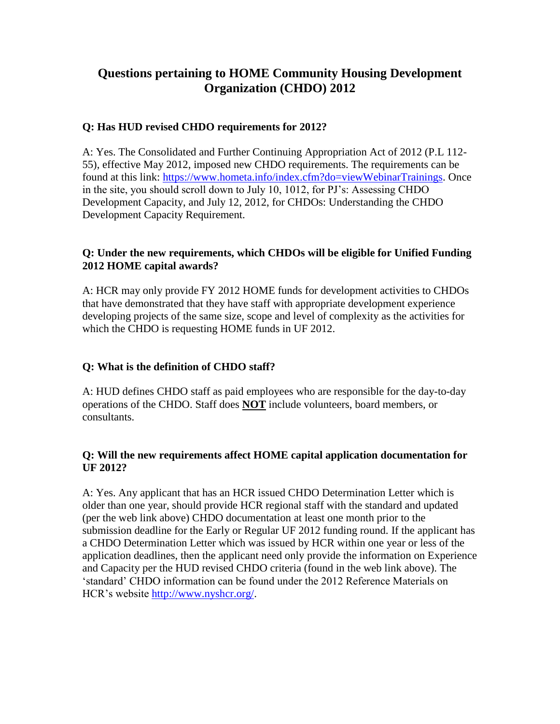# **Questions pertaining to HOME Community Housing Development Organization (CHDO) 2012**

## **Q: Has HUD revised CHDO requirements for 2012?**

A: Yes. The Consolidated and Further Continuing Appropriation Act of 2012 (P.L 112- 55), effective May 2012, imposed new CHDO requirements. The requirements can be found at this link: [https://www.hometa.info/index.cfm?do=viewWebinarTrainings.](https://www.hometa.info/index.cfm?do=viewWebinarTrainings) Once in the site, you should scroll down to July 10, 1012, for PJ's: Assessing CHDO Development Capacity, and July 12, 2012, for CHDOs: Understanding the CHDO Development Capacity Requirement.

## **Q: Under the new requirements, which CHDOs will be eligible for Unified Funding 2012 HOME capital awards?**

A: HCR may only provide FY 2012 HOME funds for development activities to CHDOs that have demonstrated that they have staff with appropriate development experience developing projects of the same size, scope and level of complexity as the activities for which the CHDO is requesting HOME funds in UF 2012.

# **Q: What is the definition of CHDO staff?**

A: HUD defines CHDO staff as paid employees who are responsible for the day-to-day operations of the CHDO. Staff does **NOT** include volunteers, board members, or consultants.

#### **Q: Will the new requirements affect HOME capital application documentation for UF 2012?**

A: Yes. Any applicant that has an HCR issued CHDO Determination Letter which is older than one year, should provide HCR regional staff with the standard and updated (per the web link above) CHDO documentation at least one month prior to the submission deadline for the Early or Regular UF 2012 funding round. If the applicant has a CHDO Determination Letter which was issued by HCR within one year or less of the application deadlines, then the applicant need only provide the information on Experience and Capacity per the HUD revised CHDO criteria (found in the web link above). The 'standard' CHDO information can be found under the 2012 Reference Materials on HCR's website [http://www.nyshcr.org/.](http://www.nyshcr.org/)